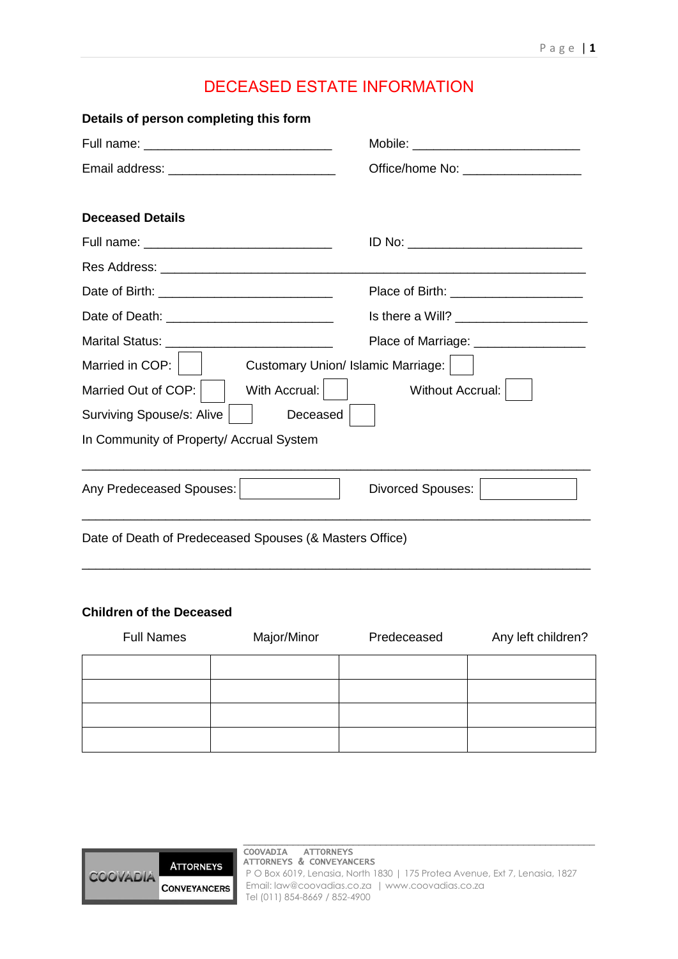# DECEASED ESTATE INFORMATION

| Details of person completing this form                  |                                         |
|---------------------------------------------------------|-----------------------------------------|
|                                                         |                                         |
| Email address: ____________________________             | Office/home No: ____________________    |
| <b>Deceased Details</b>                                 |                                         |
| Full name: ___________________________________          |                                         |
|                                                         |                                         |
|                                                         | Place of Birth: _______________________ |
|                                                         |                                         |
|                                                         | Place of Marriage: __________________   |
| Married in COP: $\vert$ $\vert$                         | Customary Union/ Islamic Marriage:      |
| With Accrual:  <br>Married Out of COP:                  | Without Accrual:                        |
| Surviving Spouse/s: Alive<br>Deceased                   |                                         |
| In Community of Property/ Accrual System                |                                         |
| Any Predeceased Spouses:                                | <b>Divorced Spouses:</b>                |
| Date of Death of Predeceased Spouses (& Masters Office) |                                         |
|                                                         |                                         |

# **Children of the Deceased**

COO

| <b>Full Names</b> | Major/Minor | Predeceased | Any left children? |
|-------------------|-------------|-------------|--------------------|
|                   |             |             |                    |
|                   |             |             |                    |
|                   |             |             |                    |
|                   |             |             |                    |

|                             |                                                                                   | COOVADIA ATTORNEYS                                                                                      |
|-----------------------------|-----------------------------------------------------------------------------------|---------------------------------------------------------------------------------------------------------|
|                             | <b>ATTORNEYS</b>                                                                  | ATTORNEYS & CONVEYANCERS<br>P O Box 6019, Lenasia, North 1830   175 Protea Avenue, Ext 7, Lenasia, 1827 |
| ADIA<br><b>CONVEYANCERS</b> | Email: law@coovadias.co.za   www.coovadias.co.za<br>Tel (011) 854-8669 / 852-4900 |                                                                                                         |
|                             |                                                                                   |                                                                                                         |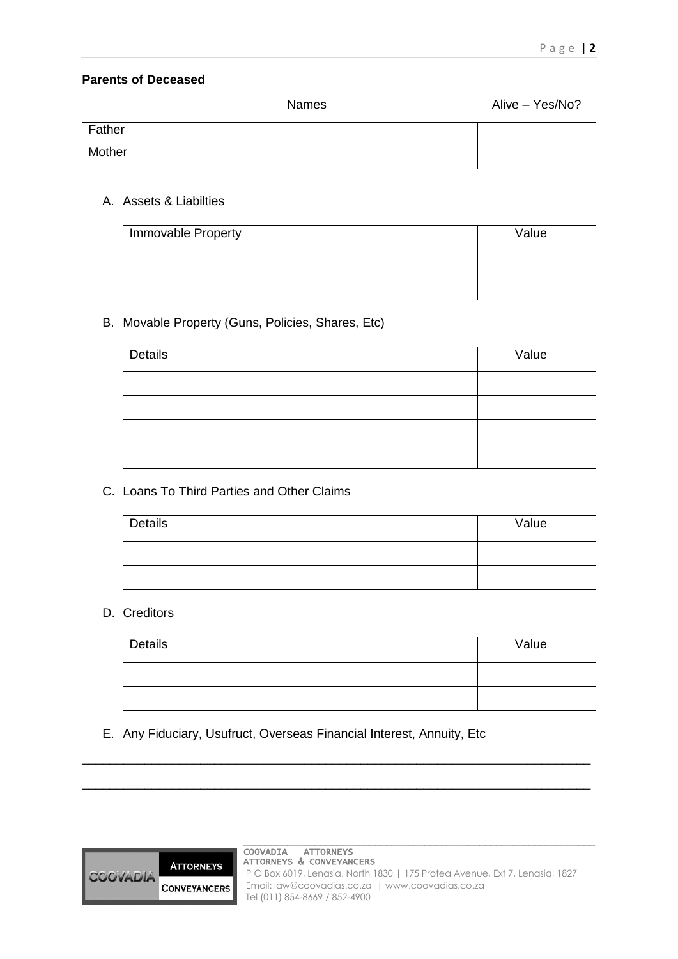#### **Parents of Deceased**

|        | <b>Names</b> | Alive - Yes/No? |
|--------|--------------|-----------------|
| Father |              |                 |
| Mother |              |                 |

#### A. Assets & Liabilties

| Immovable Property | Value |
|--------------------|-------|
|                    |       |
|                    |       |

# B. Movable Property (Guns, Policies, Shares, Etc)

| Details | Value |
|---------|-------|
|         |       |
|         |       |
|         |       |
|         |       |

# C. Loans To Third Parties and Other Claims

| Details | Value |
|---------|-------|
|         |       |
|         |       |

# D. Creditors

| Details | Value |
|---------|-------|
|         |       |
|         |       |

# E. Any Fiduciary, Usufruct, Overseas Financial Interest, Annuity, Etc



\_\_\_\_\_\_\_\_\_\_\_\_\_\_\_\_\_\_\_\_\_\_\_\_\_\_\_\_\_\_\_\_\_\_\_\_\_\_\_\_\_\_\_\_\_\_\_\_\_\_\_\_\_\_\_\_\_\_\_\_\_\_\_\_\_\_\_\_\_\_\_\_\_

\_\_\_\_\_\_\_\_\_\_\_\_\_\_\_\_\_\_\_\_\_\_\_\_\_\_\_\_\_\_\_\_\_\_\_\_\_\_\_\_\_\_\_\_\_\_\_\_\_\_\_\_\_\_\_\_\_\_\_\_\_\_\_\_\_\_\_\_\_\_\_\_\_